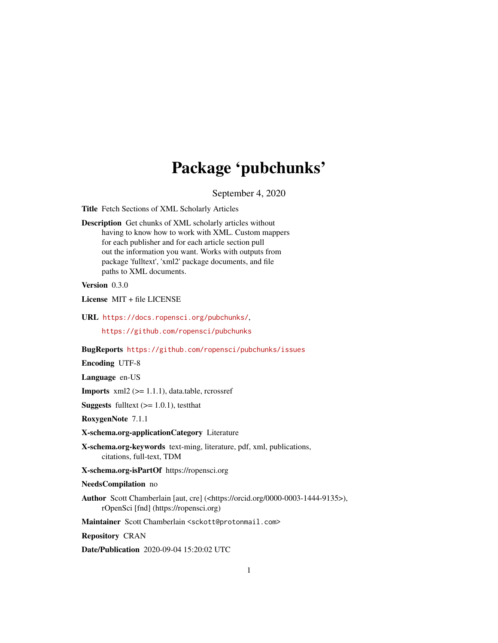## Package 'pubchunks'

September 4, 2020

Title Fetch Sections of XML Scholarly Articles

Description Get chunks of XML scholarly articles without having to know how to work with XML. Custom mappers for each publisher and for each article section pull out the information you want. Works with outputs from package 'fulltext', 'xml2' package documents, and file paths to XML documents.

Version 0.3.0

License MIT + file LICENSE

URL <https://docs.ropensci.org/pubchunks/>, <https://github.com/ropensci/pubchunks>

BugReports <https://github.com/ropensci/pubchunks/issues>

Encoding UTF-8

Language en-US

**Imports**  $xml2$  ( $>= 1.1.1$ ), data.table, rcrossref

**Suggests** fulltext  $(>= 1.0.1)$ , test that

RoxygenNote 7.1.1

X-schema.org-applicationCategory Literature

X-schema.org-keywords text-ming, literature, pdf, xml, publications, citations, full-text, TDM

X-schema.org-isPartOf https://ropensci.org

NeedsCompilation no

Author Scott Chamberlain [aut, cre] (<https://orcid.org/0000-0003-1444-9135>), rOpenSci [fnd] (https://ropensci.org)

Maintainer Scott Chamberlain <sckott@protonmail.com>

Repository CRAN

Date/Publication 2020-09-04 15:20:02 UTC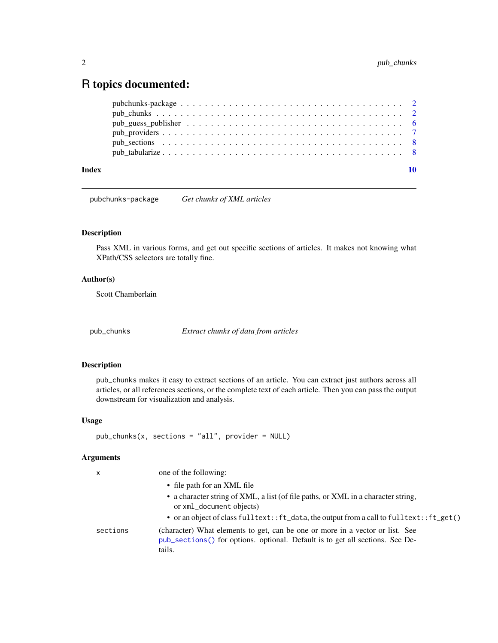## <span id="page-1-0"></span>R topics documented:

#### $\blacksquare$

pubchunks-package *Get chunks of XML articles*

## Description

Pass XML in various forms, and get out specific sections of articles. It makes not knowing what XPath/CSS selectors are totally fine.

## Author(s)

Scott Chamberlain

<span id="page-1-1"></span>pub\_chunks *Extract chunks of data from articles*

## Description

pub\_chunks makes it easy to extract sections of an article. You can extract just authors across all articles, or all references sections, or the complete text of each article. Then you can pass the output downstream for visualization and analysis.

## Usage

```
pub_chunks(x, sections = "all", provider = NULL)
```
#### Arguments

| X        | one of the following:                                                                                                                                                    |
|----------|--------------------------------------------------------------------------------------------------------------------------------------------------------------------------|
|          | • file path for an XML file                                                                                                                                              |
|          | • a character string of XML, a list (of file paths, or XML in a character string,<br>or xml_document objects)                                                            |
|          | • or an object of class fulltext:: ft_data, the output from a call to fulltext:: ft_get()                                                                                |
| sections | (character) What elements to get, can be one or more in a vector or list. See<br>pub_sections() for options. optional. Default is to get all sections. See De-<br>tails. |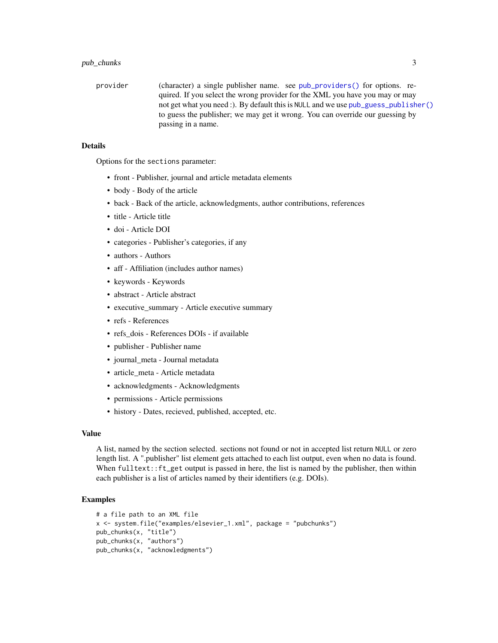<span id="page-2-0"></span>provider (character) a single publisher name. see [pub\\_providers\(\)](#page-6-1) for options. required. If you select the wrong provider for the XML you have you may or may not get what you need :). By default this is NULL and we use [pub\\_guess\\_publisher\(\)](#page-5-1) to guess the publisher; we may get it wrong. You can override our guessing by passing in a name.

#### Details

Options for the sections parameter:

- front Publisher, journal and article metadata elements
- body Body of the article
- back Back of the article, acknowledgments, author contributions, references
- title Article title
- doi Article DOI
- categories Publisher's categories, if any
- authors Authors
- aff Affiliation (includes author names)
- keywords Keywords
- abstract Article abstract
- executive\_summary Article executive summary
- refs References
- refs\_dois References DOIs if available
- publisher Publisher name
- journal meta Journal metadata
- article\_meta Article metadata
- acknowledgments Acknowledgments
- permissions Article permissions
- history Dates, recieved, published, accepted, etc.

#### Value

A list, named by the section selected. sections not found or not in accepted list return NULL or zero length list. A ".publisher" list element gets attached to each list output, even when no data is found. When fulltext::ft\_get output is passed in here, the list is named by the publisher, then within each publisher is a list of articles named by their identifiers (e.g. DOIs).

## Examples

```
# a file path to an XML file
x <- system.file("examples/elsevier_1.xml", package = "pubchunks")
pub_chunks(x, "title")
pub_chunks(x, "authors")
pub_chunks(x, "acknowledgments")
```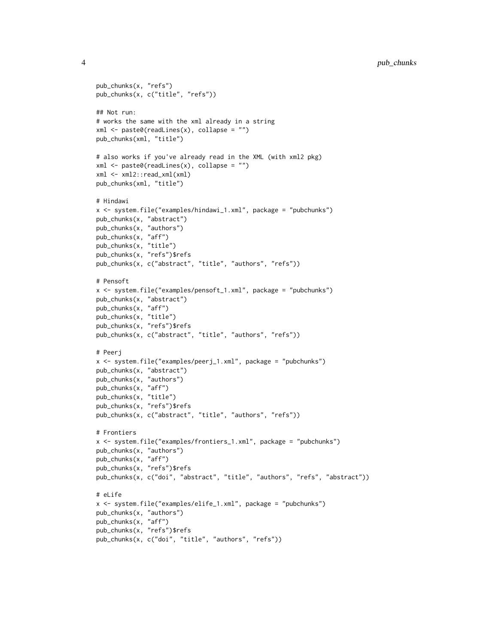```
pub_chunks(x, "refs")
pub_chunks(x, c("title", "refs"))
## Not run:
# works the same with the xml already in a string
xml <- paste0(readLines(x), collapse = "")
pub_chunks(xml, "title")
# also works if you've already read in the XML (with xml2 pkg)
xml <- paste0(readLines(x), collapse = "")
xml <- xml2::read_xml(xml)
pub_chunks(xml, "title")
# Hindawi
x <- system.file("examples/hindawi_1.xml", package = "pubchunks")
pub_chunks(x, "abstract")
pub_chunks(x, "authors")
pub_chunks(x, "aff")
pub_chunks(x, "title")
pub_chunks(x, "refs")$refs
pub_chunks(x, c("abstract", "title", "authors", "refs"))
# Pensoft
x <- system.file("examples/pensoft_1.xml", package = "pubchunks")
pub_chunks(x, "abstract")
pub_chunks(x, "aff")
pub_chunks(x, "title")
pub_chunks(x, "refs")$refs
pub_chunks(x, c("abstract", "title", "authors", "refs"))
# Peerj
x <- system.file("examples/peerj_1.xml", package = "pubchunks")
pub_chunks(x, "abstract")
pub_chunks(x, "authors")
pub_chunks(x, "aff")
pub_chunks(x, "title")
pub_chunks(x, "refs")$refs
pub_chunks(x, c("abstract", "title", "authors", "refs"))
# Frontiers
x <- system.file("examples/frontiers_1.xml", package = "pubchunks")
pub_chunks(x, "authors")
pub_chunks(x, "aff")
pub_chunks(x, "refs")$refs
pub_chunks(x, c("doi", "abstract", "title", "authors", "refs", "abstract"))
# eLife
x <- system.file("examples/elife_1.xml", package = "pubchunks")
pub_chunks(x, "authors")
pub_chunks(x, "aff")
pub_chunks(x, "refs")$refs
pub_chunks(x, c("doi", "title", "authors", "refs"))
```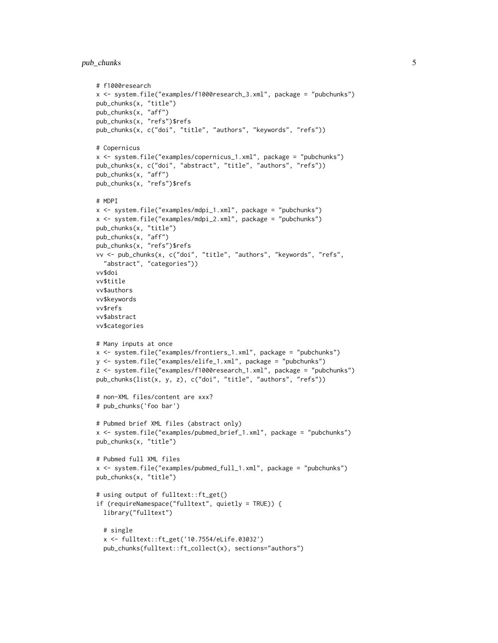## pub\_chunks 5

```
# f1000research
x <- system.file("examples/f1000research_3.xml", package = "pubchunks")
pub_chunks(x, "title")
pub_chunks(x, "aff")
pub_chunks(x, "refs")$refs
pub_chunks(x, c("doi", "title", "authors", "keywords", "refs"))
# Copernicus
x <- system.file("examples/copernicus_1.xml", package = "pubchunks")
pub_chunks(x, c("doi", "abstract", "title", "authors", "refs"))
pub_chunks(x, "aff")
pub_chunks(x, "refs")$refs
# MDPI
x <- system.file("examples/mdpi_1.xml", package = "pubchunks")
x <- system.file("examples/mdpi_2.xml", package = "pubchunks")
pub_chunks(x, "title")
pub_chunks(x, "aff")
pub_chunks(x, "refs")$refs
vv <- pub_chunks(x, c("doi", "title", "authors", "keywords", "refs",
  "abstract", "categories"))
vv$doi
vv$title
vv$authors
vv$keywords
vv$refs
vv$abstract
vv$categories
# Many inputs at once
x <- system.file("examples/frontiers_1.xml", package = "pubchunks")
y <- system.file("examples/elife_1.xml", package = "pubchunks")
z <- system.file("examples/f1000research_1.xml", package = "pubchunks")
pub_chunks(list(x, y, z), c("doi", "title", "authors", "refs"))
# non-XML files/content are xxx?
# pub_chunks('foo bar')
# Pubmed brief XML files (abstract only)
x <- system.file("examples/pubmed_brief_1.xml", package = "pubchunks")
pub_chunks(x, "title")
# Pubmed full XML files
x <- system.file("examples/pubmed_full_1.xml", package = "pubchunks")
pub_chunks(x, "title")
# using output of fulltext::ft_get()
if (requireNamespace("fulltext", quietly = TRUE)) {
  library("fulltext")
  # single
  x <- fulltext::ft_get('10.7554/eLife.03032')
  pub_chunks(fulltext::ft_collect(x), sections="authors")
```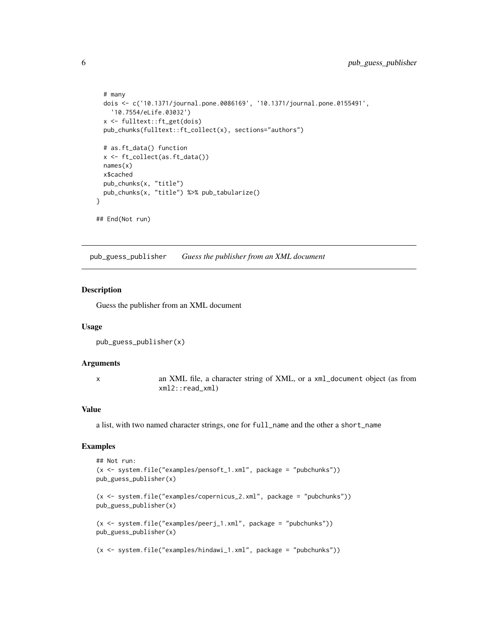```
# many
 dois <- c('10.1371/journal.pone.0086169', '10.1371/journal.pone.0155491',
    '10.7554/eLife.03032')
 x <- fulltext::ft_get(dois)
 pub_chunks(fulltext::ft_collect(x), sections="authors")
 # as.ft_data() function
 x <- ft_collect(as.ft_data())
 names(x)
 x$cached
 pub_chunks(x, "title")
 pub_chunks(x, "title") %>% pub_tabularize()
}
## End(Not run)
```
<span id="page-5-1"></span>pub\_guess\_publisher *Guess the publisher from an XML document*

#### Description

Guess the publisher from an XML document

#### Usage

```
pub_guess_publisher(x)
```
#### Arguments

x an XML file, a character string of XML, or a xml\_document object (as from xml2::read\_xml)

#### Value

a list, with two named character strings, one for full\_name and the other a short\_name

## Examples

```
## Not run:
(x <- system.file("examples/pensoft_1.xml", package = "pubchunks"))
pub_guess_publisher(x)
(x <- system.file("examples/copernicus_2.xml", package = "pubchunks"))
pub_guess_publisher(x)
(x <- system.file("examples/peerj_1.xml", package = "pubchunks"))
pub_guess_publisher(x)
(x <- system.file("examples/hindawi_1.xml", package = "pubchunks"))
```
<span id="page-5-0"></span>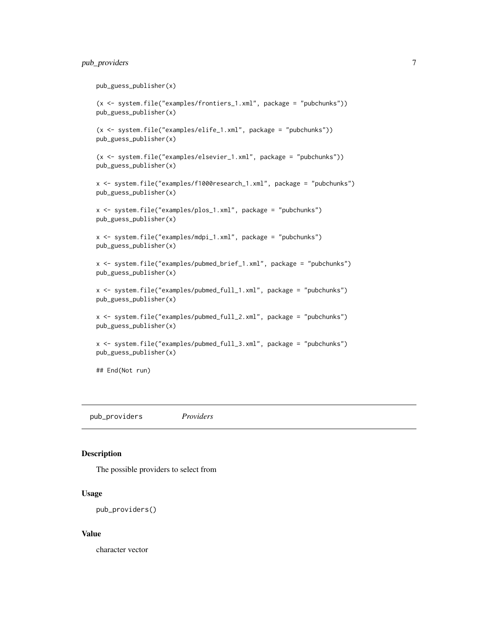## <span id="page-6-0"></span>pub\_providers 7

```
pub_guess_publisher(x)
(x <- system.file("examples/frontiers_1.xml", package = "pubchunks"))
pub_guess_publisher(x)
(x <- system.file("examples/elife_1.xml", package = "pubchunks"))
pub_guess_publisher(x)
(x <- system.file("examples/elsevier_1.xml", package = "pubchunks"))
pub_guess_publisher(x)
x <- system.file("examples/f1000research_1.xml", package = "pubchunks")
pub_guess_publisher(x)
x <- system.file("examples/plos_1.xml", package = "pubchunks")
pub_guess_publisher(x)
x <- system.file("examples/mdpi_1.xml", package = "pubchunks")
pub_guess_publisher(x)
x <- system.file("examples/pubmed_brief_1.xml", package = "pubchunks")
pub_guess_publisher(x)
x <- system.file("examples/pubmed_full_1.xml", package = "pubchunks")
pub_guess_publisher(x)
x <- system.file("examples/pubmed_full_2.xml", package = "pubchunks")
pub_guess_publisher(x)
x <- system.file("examples/pubmed_full_3.xml", package = "pubchunks")
pub_guess_publisher(x)
## End(Not run)
```
<span id="page-6-1"></span>pub\_providers *Providers*

#### Description

The possible providers to select from

#### Usage

```
pub_providers()
```
#### Value

character vector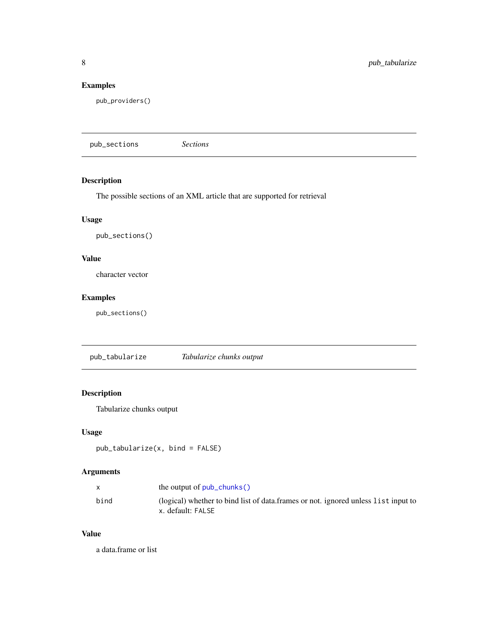## <span id="page-7-0"></span>Examples

pub\_providers()

<span id="page-7-1"></span>pub\_sections *Sections*

## Description

The possible sections of an XML article that are supported for retrieval

#### Usage

pub\_sections()

## Value

character vector

## Examples

pub\_sections()

pub\_tabularize *Tabularize chunks output*

## Description

Tabularize chunks output

#### Usage

```
pub_tabularize(x, bind = FALSE)
```
## Arguments

|      | the output of $pub_chunks()$                                                                            |
|------|---------------------------------------------------------------------------------------------------------|
| bind | (logical) whether to bind list of data.frames or not. ignored unless list input to<br>x. default: FALSE |

## Value

a data.frame or list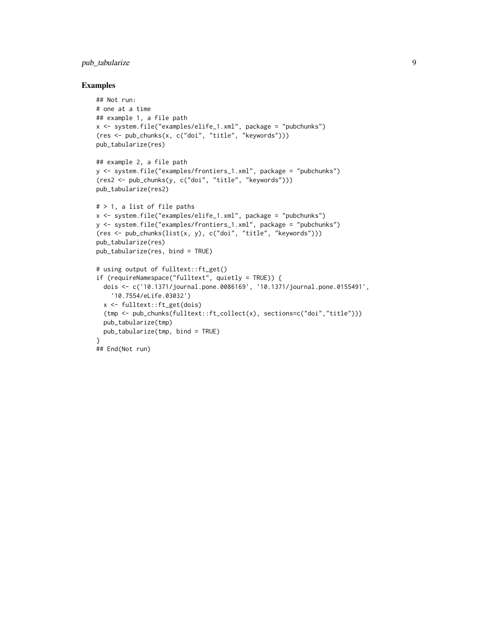## pub\_tabularize 9

#### Examples

```
## Not run:
# one at a time
## example 1, a file path
x <- system.file("examples/elife_1.xml", package = "pubchunks")
(res <- pub_chunks(x, c("doi", "title", "keywords")))
pub_tabularize(res)
## example 2, a file path
y <- system.file("examples/frontiers_1.xml", package = "pubchunks")
(res2 <- pub_chunks(y, c("doi", "title", "keywords")))
pub_tabularize(res2)
# > 1, a list of file paths
x <- system.file("examples/elife_1.xml", package = "pubchunks")
y <- system.file("examples/frontiers_1.xml", package = "pubchunks")
(res <- pub_chunks(list(x, y), c("doi", "title", "keywords")))
pub_tabularize(res)
pub_tabularize(res, bind = TRUE)
# using output of fulltext::ft_get()
if (requireNamespace("fulltext", quietly = TRUE)) {
  dois <- c('10.1371/journal.pone.0086169', '10.1371/journal.pone.0155491',
    '10.7554/eLife.03032')
  x <- fulltext::ft_get(dois)
  (tmp <- pub_chunks(fulltext::ft_collect(x), sections=c("doi","title")))
  pub_tabularize(tmp)
  pub_tabularize(tmp, bind = TRUE)
}
## End(Not run)
```